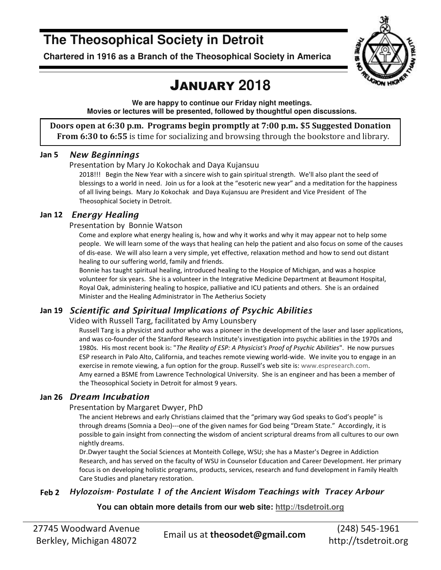## **The Theosophical Society in Detroit**

**Chartered in 1916 as a Branch of the Theosophical Society in America** 



## JANUARY **2018**

**We are happy to continue our Friday night meetings. Movies or lectures will be presented, followed by thoughtful open discussions.** 

**Doors open at 6:30 p.m. Programs begin promptly at 7:00 p.m. \$5 Suggested Donation From 6:30 to 6:55** is time for socializing and browsing through the bookstore and library.

#### **Jan 5** *New Beginnings*

Presentation by Mary Jo Kokochak and Daya Kujansuu

2018!!! Begin the New Year with a sincere wish to gain spiritual strength. We'll also plant the seed of blessings to a world in need. Join us for a look at the "esoteric new year" and a meditation for the happiness of all living beings. Mary Jo Kokochak and Daya Kujansuu are President and Vice President of The Theosophical Society in Detroit.

#### **Jan 12** *Energy Healing*

Presentation by Bonnie Watson

Come and explore what energy healing is, how and why it works and why it may appear not to help some people. We will learn some of the ways that healing can help the patient and also focus on some of the causes of dis-ease. We will also learn a very simple, yet effective, relaxation method and how to send out distant healing to our suffering world, family and friends.

Bonnie has taught spiritual healing, introduced healing to the Hospice of Michigan, and was a hospice volunteer for six years. She is a volunteer in the Integrative Medicine Department at Beaumont Hospital, Royal Oak, administering healing to hospice, palliative and ICU patients and others. She is an ordained Minister and the Healing Administrator in The Aetherius Society

### **Jan 19** *Scientific and Spiritual Implications of Psychic Abilities*

Video with Russell Targ, facilitated by Amy Lounsbery

Russell Targ is a physicist and author who was a pioneer in the development of the laser and laser applications, and was co-founder of the Stanford Research Institute's investigation into psychic abilities in the 1970s and 1980s. His most recent book is: "*The Reality of ESP: A Physicist's Proof of Psychic Abilities*". He now pursues ESP research in Palo Alto, California, and teaches remote viewing world-wide. We invite you to engage in an exercise in remote viewing, a fun option for the group. Russell's web site is: www.espresearch.com. Amy earned a BSME from Lawrence Technological University. She is an engineer and has been a member of the Theosophical Society in Detroit for almost 9 years.

### **Jan 26** *Dream Incubation*

#### Presentation by Margaret Dwyer, PhD

The ancient Hebrews and early Christians claimed that the "primary way God speaks to God's people" is through dreams (Somnia a Deo)---one of the given names for God being "Dream State." Accordingly, it is possible to gain insight from connecting the wisdom of ancient scriptural dreams from all cultures to our own nightly dreams.

Dr.Dwyer taught the Social Sciences at Monteith College, WSU; she has a Master's Degree in Addiction Research, and has served on the faculty of WSU in Counselor Education and Career Development. Her primary focus is on developing holistic programs, products, services, research and fund development in Family Health Care Studies and planetary restoration.

### **Feb 2** *Hylozoism- Postulate 1 of the Ancient Wisdom Teachings with Tracey Arbour*

**You can obtain more details from our web site: http://tsdetroit.org**